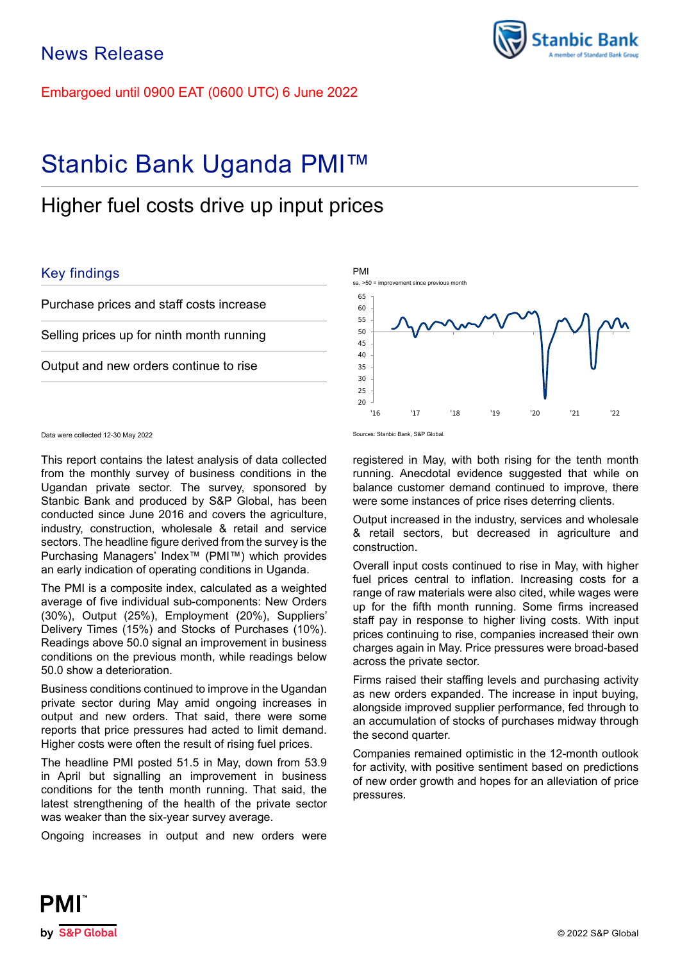Embargoed until 0900 EAT (0600 UTC) 6 June 2022

# Stanbic Bank Uganda PMI™

## Higher fuel costs drive up input prices

## Key findings

Purchase prices and staff costs increase

Selling prices up for ninth month running

Output and new orders continue to rise

#### Data were collected 12-30 May 2022 Sources: Stanbic Bank, S&P Global.

This report contains the latest analysis of data collected from the monthly survey of business conditions in the Ugandan private sector. The survey, sponsored by Stanbic Bank and produced by S&P Global, has been conducted since June 2016 and covers the agriculture, industry, construction, wholesale & retail and service sectors. The headline figure derived from the survey is the Purchasing Managers' Index™ (PMI™) which provides an early indication of operating conditions in Uganda.

The PMI is a composite index, calculated as a weighted average of five individual sub-components: New Orders (30%), Output (25%), Employment (20%), Suppliers' Delivery Times (15%) and Stocks of Purchases (10%). Readings above 50.0 signal an improvement in business conditions on the previous month, while readings below 50.0 show a deterioration.

Business conditions continued to improve in the Ugandan private sector during May amid ongoing increases in output and new orders. That said, there were some reports that price pressures had acted to limit demand. Higher costs were often the result of rising fuel prices.

The headline PMI posted 51.5 in May, down from 53.9 in April but signalling an improvement in business conditions for the tenth month running. That said, the latest strengthening of the health of the private sector was weaker than the six-year survey average.

Ongoing increases in output and new orders were

 $20$ 25 30 35 40 45 50 55 60 65 '16 '17 '18 '19 '20 '21 '22 PMI sa, >50 = improvement since previous month

registered in May, with both rising for the tenth month running. Anecdotal evidence suggested that while on balance customer demand continued to improve, there were some instances of price rises deterring clients.

Output increased in the industry, services and wholesale & retail sectors, but decreased in agriculture and construction.

Overall input costs continued to rise in May, with higher fuel prices central to inflation. Increasing costs for a range of raw materials were also cited, while wages were up for the fifth month running. Some firms increased staff pay in response to higher living costs. With input prices continuing to rise, companies increased their own charges again in May. Price pressures were broad-based across the private sector.

Firms raised their staffing levels and purchasing activity as new orders expanded. The increase in input buying, alongside improved supplier performance, fed through to an accumulation of stocks of purchases midway through the second quarter.

Companies remained optimistic in the 12-month outlook for activity, with positive sentiment based on predictions of new order growth and hopes for an alleviation of price pressures.